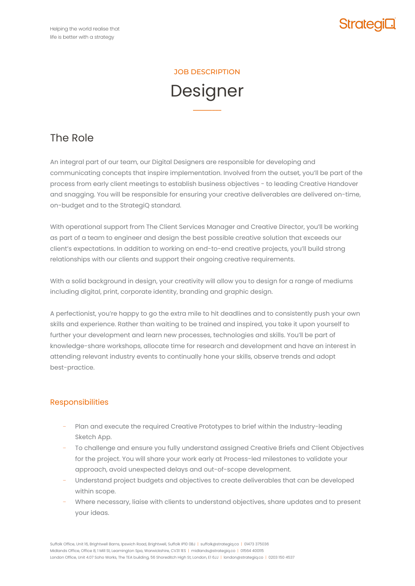

### JOB DESCRIPTION

# Designer

**–––––––––**

# The Role

An integral part of our team, our Digital Designers are responsible for developing and communicating concepts that inspire implementation. Involved from the outset, you'll be part of the process from early client meetings to establish business objectives - to leading Creative Handover and snagging. You will be responsible for ensuring your creative deliverables are delivered on-time, on-budget and to the StrategiQ standard.

With operational support from The Client Services Manager and Creative Director, you'll be working as part of a team to engineer and design the best possible creative solution that exceeds our client's expectations. In addition to working on end-to-end creative projects, you'll build strong relationships with our clients and support their ongoing creative requirements.

With a solid background in design, your creativity will allow you to design for a range of mediums including digital, print, corporate identity, branding and graphic design.

A perfectionist, you're happy to go the extra mile to hit deadlines and to consistently push your own skills and experience. Rather than waiting to be trained and inspired, you take it upon yourself to further your development and learn new processes, technologies and skills. You'll be part of knowledge-share workshops, allocate time for research and development and have an interest in attending relevant industry events to continually hone your skills, observe trends and adopt best-practice.

# Responsibilities

- − Plan and execute the required Creative Prototypes to brief within the Industry-leading Sketch App.
- − To challenge and ensure you fully understand assigned Creative Briefs and Client Objectives for the project. You will share your work early at Process-led milestones to validate your approach, avoid unexpected delays and out-of-scope development.
- − Understand project budgets and objectives to create deliverables that can be developed within scope.
- − Where necessary, liaise with clients to understand objectives, share updates and to present your ideas.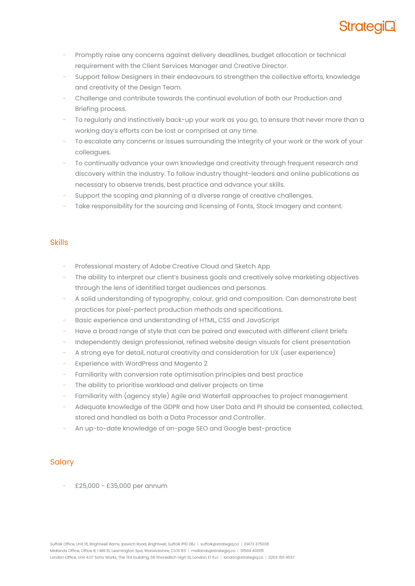

- Promptly raise any concerns against delivery deadlines, budget allocation or technical requirement with the Client Services Manager and Creative Director.
- Support fellow Designers in their endeavours to strengthen the collective efforts, knowledge and creativity of the Design Team.
- − Challenge and contribute towards the continual evolution of both our Production and Briefing process.
- To regularly and instinctively back-up your work as you go, to ensure that never more than a working day's efforts can be lost or comprised at any time.
- To escalate any concerns or issues surrounding the integrity of your work or the work of your colleagues.
- To continually advance your own knowledge and creativity through frequent research and discovery within the industry. To follow industry thought-leaders and online publications as necessary to observe trends, best practice and advance your skills.
- Support the scoping and planning of a diverse range of creative challenges.
- Take responsibility for the sourcing and licensing of Fonts, Stock Imagery and content.

#### Skills

- − Professional mastery of Adobe Creative Cloud and Sketch App
- The ability to interpret our client's business goals and creatively solve marketing objectives through the lens of identified target audiences and personas.
- − A solid understanding of typography, colour, grid and composition. Can demonstrate best practices for pixel-perfect production methods and specifications.
- − Basic experience and understanding of HTML, CSS and JavaScript
- − Have a broad range of style that can be paired and executed with different client briefs
- Independently design professional, refined website design visuals for client presentation
- − A strong eye for detail, natural creativity and consideration for UX (user experience)
- Experience with WordPress and Magento 2
- Familiarity with conversion rate optimisation principles and best practice
- The ability to prioritise workload and deliver projects on time
- Familiarity with (agency style) Agile and Waterfall approaches to project management
- − Adequate knowledge of the GDPR and how User Data and PI should be consented, collected, stored and handled as both a Data Processor and Controller.
- − An up-to-date knowledge of on-page SEO and Google best-practice

#### **Salary**

− £25,000 - £35,000 per annum